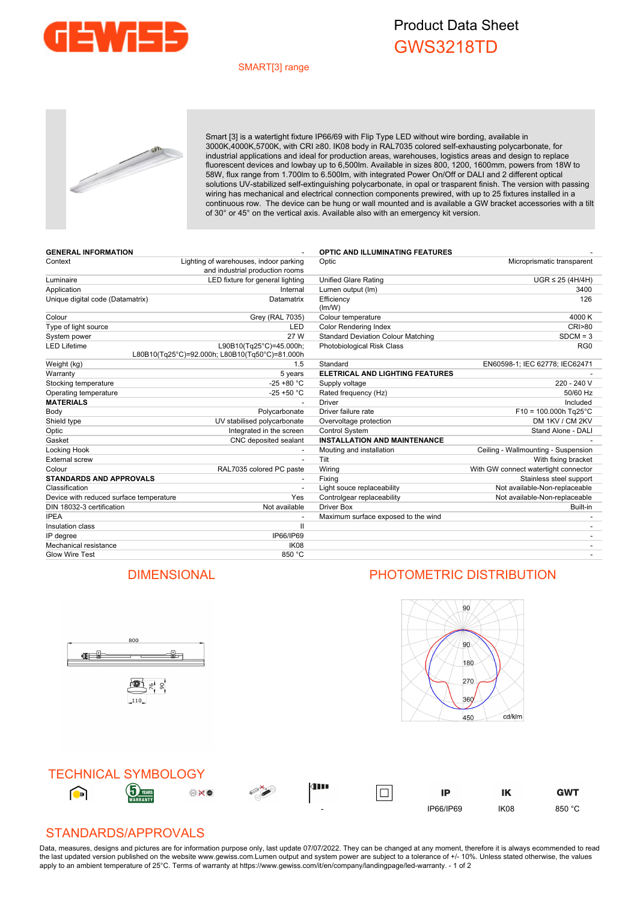

## Product Data Sheet GWS3218TD

#### SMART[3] range



Smart [3] is a watertight fixture IP66/69 with Flip Type LED without wire bording, available in 3000K,4000K,5700K, with CRI ≥80. IK08 body in RAL7035 colored self-exhausting polycarbonate, for industrial applications and ideal for production areas, warehouses, logistics areas and design to replace fluorescent devices and lowbay up to 6,500lm. Available in sizes 800, 1200, 1600mm, powers from 18W to 58W, flux range from 1.700lm to 6.500lm, with integrated Power On/Off or DALI and 2 different optical solutions UV-stabilized self-extinguishing polycarbonate, in opal or trasparent finish. The version with passing wiring has mechanical and electrical connection components prewired, with up to 25 fixtures installed in a continuous row. The device can be hung or wall mounted and is available a GW bracket accessories with a tilt of 30° or 45° on the vertical axis. Available also with an emergency kit version.

| <b>GENERAL INFORMATION</b>              |                                                                           | <b>OPTIC AND ILLUMINATING FEATURES</b>    |                                      |
|-----------------------------------------|---------------------------------------------------------------------------|-------------------------------------------|--------------------------------------|
| Context                                 | Lighting of warehouses, indoor parking<br>and industrial production rooms | Optic                                     | Microprismatic transparent           |
| Luminaire                               | LED fixture for general lighting                                          | <b>Unified Glare Rating</b>               | $UGR \leq 25$ (4H/4H)                |
| Application                             | Internal                                                                  | Lumen output (Im)                         | 3400                                 |
| Unique digital code (Datamatrix)        | Datamatrix                                                                | Efficiency<br>(lm/W)                      | 126                                  |
| Colour                                  | Grey (RAL 7035)                                                           | Colour temperature                        | 4000 K                               |
| Type of light source                    | LED                                                                       | <b>Color Rendering Index</b>              | <b>CRI&gt;80</b>                     |
| System power                            | 27 W                                                                      | <b>Standard Deviation Colour Matching</b> | $SDCM = 3$                           |
| <b>LED Lifetime</b>                     | L90B10(Tq25°C)=45.000h;<br>L80B10(Tq25°C)=92.000h; L80B10(Tq50°C)=81.000h | Photobiological Risk Class                | RG <sub>0</sub>                      |
| Weight (kg)                             | 1.5                                                                       | Standard                                  | EN60598-1; IEC 62778; IEC62471       |
| Warranty                                | 5 years                                                                   | <b>ELETRICAL AND LIGHTING FEATURES</b>    |                                      |
| Stocking temperature                    | $-25 + 80 °C$                                                             | Supply voltage                            | 220 - 240 V                          |
| Operating temperature                   | $-25 + 50 °C$                                                             | Rated frequency (Hz)                      | 50/60 Hz                             |
| <b>MATERIALS</b>                        |                                                                           | <b>Driver</b>                             | Included                             |
| Body                                    | Polycarbonate                                                             | Driver failure rate                       | $F10 = 100.000h$ Tg25°C              |
| Shield type                             | UV stabilised polycarbonate                                               | Overvoltage protection                    | DM 1KV / CM 2KV                      |
| Optic                                   | Integrated in the screen                                                  | Control System                            | Stand Alone - DALI                   |
| Gasket                                  | CNC deposited sealant                                                     | <b>INSTALLATION AND MAINTENANCE</b>       |                                      |
| Locking Hook                            |                                                                           | Mouting and installation                  | Ceiling - Wallmounting - Suspension  |
| <b>External screw</b>                   |                                                                           | Tilt                                      | With fixing bracket                  |
| Colour                                  | RAL7035 colored PC paste                                                  | Wiring                                    | With GW connect watertight connector |
| <b>STANDARDS AND APPROVALS</b>          |                                                                           | Fixing                                    | Stainless steel support              |
| Classification                          |                                                                           | Light souce replaceability                | Not available-Non-replaceable        |
| Device with reduced surface temperature | Yes                                                                       | Controlgear replaceability                | Not available-Non-replaceable        |
| DIN 18032-3 certification               | Not available                                                             | <b>Driver Box</b>                         | Built-in                             |
| <b>IPEA</b>                             |                                                                           | Maximum surface exposed to the wind       |                                      |
| Insulation class                        | $\mathsf{II}$                                                             |                                           |                                      |
| IP degree                               | IP66/IP69                                                                 |                                           |                                      |
| Mechanical resistance                   | IK08                                                                      |                                           |                                      |
| <b>Glow Wire Test</b>                   | 850 °C                                                                    |                                           |                                      |

### DIMENSIONAL PHOTOMETRIC DISTRIBUTION

 $\frac{1}{10}$ 





#### STANDARDS/APPROVALS

800

画片 8

110

(Fi

Data, measures, designs and pictures are for information purpose only, last update 07/07/2022. They can be changed at any moment, therefore it is always ecommended to read the last updated version published on the website www.gewiss.com.Lumen output and system power are subject to a tolerance of +/- 10%. Unless stated otherwise, the values apply to an ambient temperature of 25°C. Terms of warranty at https://www.gewiss.com/it/en/company/landingpage/led-warranty. - 1 of 2